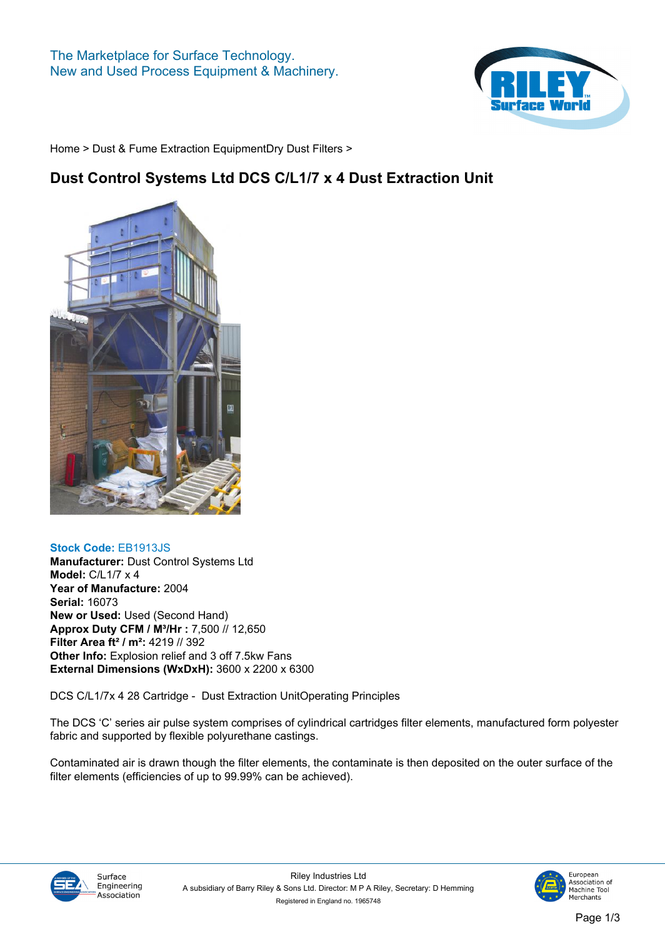

**[Home](https://www.rileysurfaceworld.co.uk) > [Dust & Fume Extraction Equipment](https://www.rileysurfaceworld.co.uk/dust-fume.asp)[Dry Dust Filters](https://www.rileysurfaceworld.co.uk/dust-dry.asp) >**

## **Dust Control Systems Ltd DCS C/L1/7 x 4 Dust Extraction Unit**



## **Stock Code: EB1913JS**

**Manufacturer: Dust Control Systems Ltd Model: C/L1/7 x 4 Year of Manufacture: 2004 Serial: 16073 New or Used: Used (Second Hand) Approx Duty CFM / M³/Hr : 7,500 // 12,650 Filter Area ft² / m²: 4219 // 392 Other Info: Explosion relief and 3 off 7.5kw Fans External Dimensions (WxDxH): 3600 x 2200 x 6300**

**DCS C/L1/7x 4 28 Cartridge - Dust Extraction UnitOperating Principles**

**The DCS 'C' series air pulse system comprises of cylindrical cartridges filter elements, manufactured form polyester fabric and supported by flexible polyurethane castings.**

**Contaminated air is drawn though the filter elements, the contaminate is then deposited on the outer surface of the filter elements (efficiencies of up to 99.99% can be achieved).**



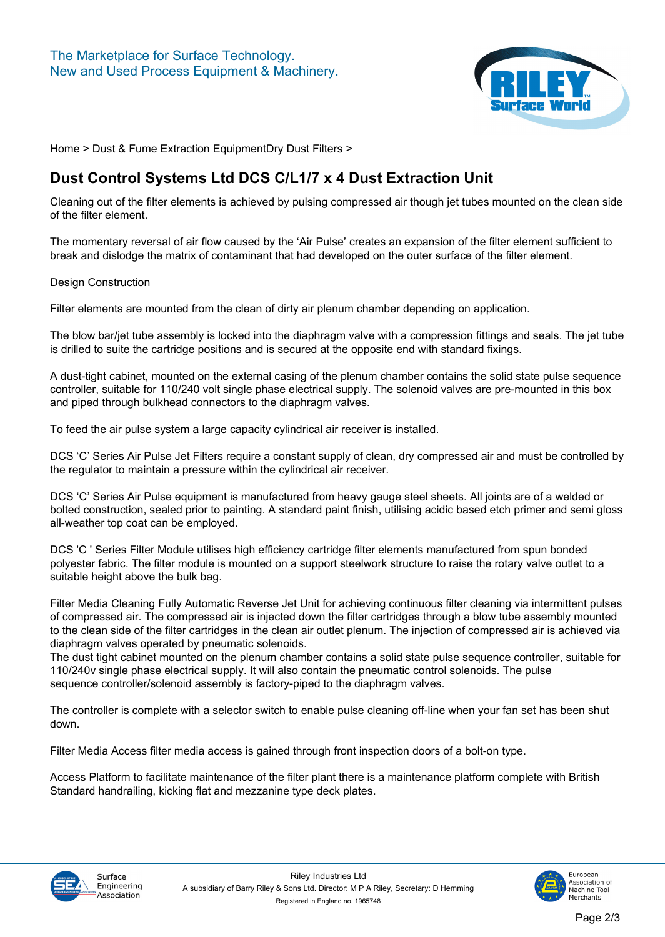

**[Home](https://www.rileysurfaceworld.co.uk) > [Dust & Fume Extraction Equipment](https://www.rileysurfaceworld.co.uk/dust-fume.asp)[Dry Dust Filters](https://www.rileysurfaceworld.co.uk/dust-dry.asp) >**

## **Dust Control Systems Ltd DCS C/L1/7 x 4 Dust Extraction Unit**

**Cleaning out of the filter elements is achieved by pulsing compressed air though jet tubes mounted on the clean side of the filter element.**

**The momentary reversal of air flow caused by the 'Air Pulse' creates an expansion of the filter element sufficient to break and dislodge the matrix of contaminant that had developed on the outer surface of the filter element.**

**Design Construction**

**Filter elements are mounted from the clean of dirty air plenum chamber depending on application.**

**The blow bar/jet tube assembly is locked into the diaphragm valve with a compression fittings and seals. The jet tube is drilled to suite the cartridge positions and is secured at the opposite end with standard fixings.**

**A dust-tight cabinet, mounted on the external casing of the plenum chamber contains the solid state pulse sequence controller, suitable for 110/240 volt single phase electrical supply. The solenoid valves are pre-mounted in this box and piped through bulkhead connectors to the diaphragm valves.**

**To feed the air pulse system a large capacity cylindrical air receiver is installed.**

**DCS 'C' Series Air Pulse Jet Filters require a constant supply of clean, dry compressed air and must be controlled by the regulator to maintain a pressure within the cylindrical air receiver.**

**DCS 'C' Series Air Pulse equipment is manufactured from heavy gauge steel sheets. All joints are of a welded or bolted construction, sealed prior to painting. A standard paint finish, utilising acidic based etch primer and semi gloss all-weather top coat can be employed.**

**DCS 'C ' Series Filter Module utilises high efficiency cartridge filter elements manufactured from spun bonded polyester fabric. The filter module is mounted on a support steelwork structure to raise the rotary valve outlet to a suitable height above the bulk bag.**

**Filter Media Cleaning Fully Automatic Reverse Jet Unit for achieving continuous filter cleaning via intermittent pulses of compressed air. The compressed air is injected down the filter cartridges through a blow tube assembly mounted to the clean side of the filter cartridges in the clean air outlet plenum. The injection of compressed air is achieved via diaphragm valves operated by pneumatic solenoids.**

**The dust tight cabinet mounted on the plenum chamber contains a solid state pulse sequence controller, suitable for 110/240v single phase electrical supply. It will also contain the pneumatic control solenoids. The pulse sequence controller/solenoid assembly is factory-piped to the diaphragm valves.**

**The controller is complete with a selector switch to enable pulse cleaning off-line when your fan set has been shut down.**

**Filter Media Access filter media access is gained through front inspection doors of a bolt-on type.**

**Access Platform to facilitate maintenance of the filter plant there is a maintenance platform complete with British Standard handrailing, kicking flat and mezzanine type deck plates.**